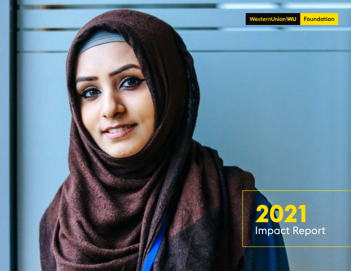

# **2021** Impact Report

Western Union Foundation Impact Report Foundation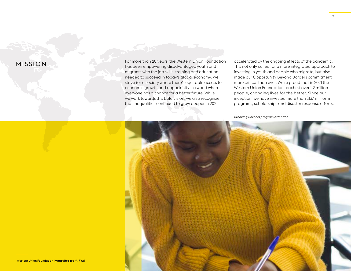# **MISSION**

For more than 20 years, the Western Union Foundation has been empowering disadvantaged youth and migrants with the job skills, training and education needed to succeed in today's global economy. We strive for a society where there's equitable access to economic growth and opportunity – a world where everyone has a chance for a better future. While we work towards this bold vision, we also recognize that inequalities continued to grow deeper in 2021,

accelerated by the ongoing effects of the pandemic. This not only called for a more integrated approach to investing in youth and people who migrate, but also made our Opportunity Beyond Borders commitment more critical than ever. We're proud that in 2021 the Western Union Foundation reached over 1.2 million people, changing lives for the better. Since our inception, we have invested more than \$137 million in programs, scholarships and disaster response efforts.

*Breaking Barriers program attendee*



Western Union Foundation **Impact Report** \\ FY21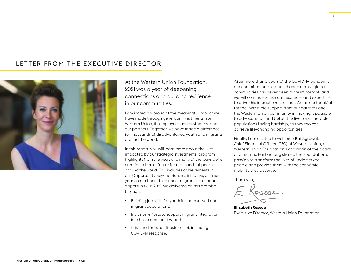# LETTER FROM THE EXECUTIVE DIRECTOR



### At the Western Union Foundation, 2021 was a year of deepening connections and building resilience in our communities.

I am incredibly proud of the meaningful impact we have made through generous investments from Western Union, its employees and customers, and our partners. Together, we have made a difference for thousands of disadvantaged youth and migrants around the world.

In this report, you will learn more about the lives impacted by our strategic investments, program highlights from the year, and many of the ways we're creating a better future for thousands of people around the world. This includes achievements in our Opportunity Beyond Borders initiative, a threeyear commitment to connect migrants to economic opportunity. In 2021, we delivered on this promise through:

- Building job skills for youth in underserved and migrant populations;
- Inclusion efforts to support migrant integration into host communities; and
- Crisis and natural disaster relief, including COVID-19 response.

After more than 2 years of the COVID-19 pandemic, our commitment to create change across global communities has never been more important, and we will continue to use our resources and expertise to drive this impact even further. We are so thankful for the incredible support from our partners and the Western Union community in making it possible to advocate for, and better the lives of vulnerable populations facing hardship, so they too can achieve life-changing opportunities.

Finally, I am excited to welcome Raj Agrawal, Chief Financial Officer (CFO) of Western Union, as Western Union Foundation's chairman of the board of directors. Raj has long shared the Foundation's passion to transform the lives of underserved people and provide them with the economic mobility they deserve.

Thank you,

**Elizabeth Roscoe** Executive Director, Western Union Foundation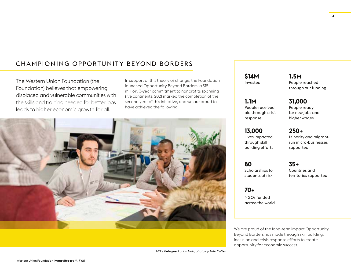# CHAMPIONING OPPORTUNITY BEYOND BORDERS

The Western Union Foundation (the Foundation) believes that empowering displaced and vulnerable communities with the skills and training needed for better jobs leads to higher economic growth for all.

In support of this theory of change, the Foundation launched Opportunity Beyond Borders: a \$15 million, 3-year commitment to nonprofits spanning five continents. 2021 marked the completion of the second year of this initiative, and we are proud to have achieved the following:



*MIT's Refugee Action Hub, photo by Toto Cullen*

**\$14M** Invested **1.5M** People reached through our funding

**31,000** People ready for new jobs and higher wages

**1.1M** People received aid through crisis response

**13,000** Lives impacted through skill building efforts **250+** Minority and migrantrun micro-businesses supported

**80** Scholarships to students at risk

Countries and territories supported

**35+**

**70+** NGOs funded across the world

We are proud of the long-term impact Opportunity Beyond Borders has made through skill building, inclusion and crisis response efforts to create opportunity for economic success.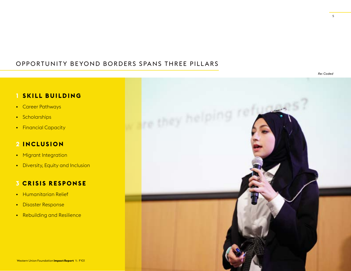# OPPORTUNITY BEYOND BORDERS SPANS THREE PILLARS

5

# **1 SKILL BUILDING**

- Career Pathways
- Scholarships
- Financial Capacity

# **2 INCLUSION**

- Migrant Integration
- Diversity, Equity and Inclusion

### **3 CRISIS RESPONSE**

- Humanitarian Relief
- Disaster Response
- Rebuilding and Resilience

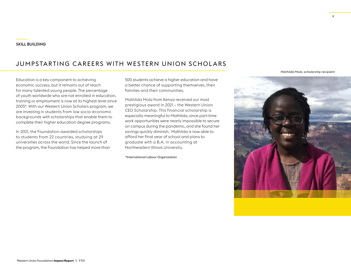# JUMPSTARTING CAREERS WITH WESTERN UNION SCHOLARS

Education is a key component to achieving economic success, but it remains out of reach for many talented young people. The percentage of youth worldwide who are not enrolled in education, training or employment is now at its highest level since 2005\*. With our Western Union Scholars program, we are investing in students from low socio-economic backgrounds with scholarships that enable them to complete their higher education degree programs.

In 2021, the Foundation awarded scholarships to students from 22 countries, studying at 29 universities across the world. Since the launch of the program, the Foundation has helped more than

500 students achieve a higher education and have a better chance of supporting themselves, their families and their communities.

Mathlida Mola from Kenya received our most prestigious award in 2021 – the Western Union CEO Scholarship. This financial scholarship is especially meaningful to Mathlida, since part-time work opportunities were nearly impossible to secure on campus during the pandemic, and she found her savings quickly diminish. Mathlida is now able to afford her final year of school and plans to graduate with a B.A. in accounting at Northeastern Illinois University.

*\*International Labour Organization*

*Mathlida Mola, scholarship recipient*

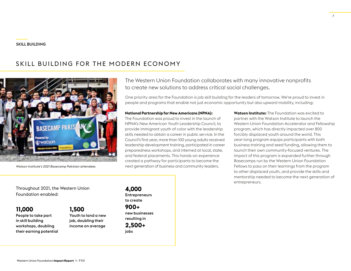# SKILL BUILDING FOR THE MODERN ECONOMY



*Watson Institute's 2021 Basecamp Pakistan attendees*

The Western Union Foundation collaborates with many innovative nonprofits to create new solutions to address critical social challenges.

One priority area for the Foundation is job skill building for the leaders of tomorrow. We're proud to invest in people and programs that enable not just economic opportunity but also upward mobility, including:

#### **National Partnership for New Americans (NPNA):**

The Foundation was proud to invest in the launch of NPNA's New American Youth Leadership Council, to provide immigrant youth of color with the leadership skills needed to obtain a career in public service. In the Council's first year, more than 100 young adults received leadership development training, participated in career preparedness workshops, and interned at local, state, and federal placements. This hands-on experience created a pathway for participants to become the next generation of business and community leaders.

**Watson Institute:** The Foundation was excited to partner with the Watson Institute to launch the Western Union Foundation Accelerator and Fellowship program, which has directly impacted over 800 forcibly displaced youth around the world. This year-long program equips participants with both business training and seed funding, allowing them to launch their own community-focused ventures. The impact of this program is expanded further through Basecamps run by the Western Union Foundation Fellows to pass on their learnings from the program to other displaced youth, and provide the skills and mentorship needed to become the next generation of entrepreneurs.

Throughout 2021, the Western Union Foundation enabled:

### **11,000**

People to take part in skill building workshops, doubling their earning potential

### **1,500**

Youth to land a new job, doubling their income on average **4,000 Entrepreneurs** to create

#### **900+** new businesses resulting in

**2,500+** jobs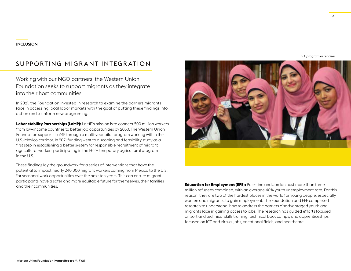# SUPPORTING MIGRANT INTEGRATION

Working with our NGO partners, the Western Union Foundation seeks to support migrants as they integrate into their host communities.

In 2021, the Foundation invested in research to examine the barriers migrants face in accessing local labor markets with the goal of putting these findings into action and to inform new programing.

**Labor Mobility Partnerships (LaMP):** LaMP's mission is to connect 500 million workers from low-income countries to better job opportunities by 2050. The Western Union Foundation supports LaMP through a multi-year pilot program working within the U.S.-Mexico corridor. In 2021 funding went to a scoping and feasibility study as a first step in establishing a better system for responsible recruitment of migrant agricultural workers participating in the H-2A temporary agricultural program in the U.S.

These findings lay the groundwork for a series of interventions that have the potential to impact nearly 240,000 migrant workers coming from Mexico to the U.S. for seasonal work opportunities over the next ten years. This can ensure migrant participants have a safer and more equitable future for themselves, their families and their communities. **Education for Employment (EFE):** Palestine and Jordan host more than three

*EFE program attendees*

million refugees combined, with an average 40% youth unemployment rate. For this reason, they are two of the hardest places in the world for young people, especially women and migrants, to gain employment. The Foundation and EFE completed research to understand how to address the barriers disadvantaged youth and migrants face in gaining access to jobs. The research has guided efforts focused on soft and technical skills training, technical boot camps, and apprenticeships focused on ICT and virtual jobs, vocational fields, and healthcare.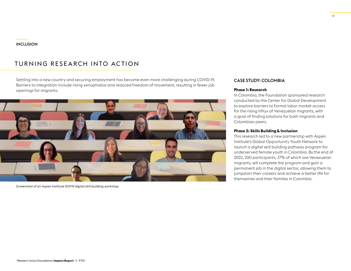#### INCLUSION

### TURNING RESEARCH INTO ACTION

Settling into a new country and securing employment has become even more challenging during COVID-19. Barriers to integration include rising xenophobia and reduced freedom of movement, resulting in fewer job openings for migrants.



*Screenshot of an Aspen Institute GOYN digital skill building workshop*

#### CASE STUDY: COLOMBIA

#### **Phase 1: Research**

In Colombia, the Foundation sponsored research conducted by the Center for Global Development to explore barriers to formal labor market access for the rising influx of Venezuelan migrants, with a goal of finding solutions for both migrants and Colombian peers.

#### **Phase 2: Skills Building & Inclusion**

This research led to a new partnership with Aspen Institute's Global Opportunity Youth Network to launch a digital skill building pathway program for underserved female youth in Colombia. By the end of 2022, 200 participants, 37% of which are Venezuelan migrants, will complete the program and gain a permanent job in the digital sector, allowing them to jumpstart their careers and achieve a better life for themselves and their families in Colombia.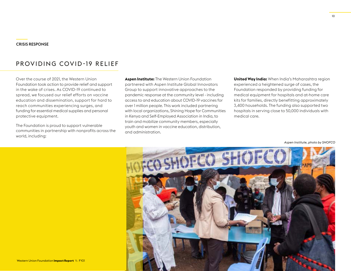# PROVIDING COVID-19 RELIEF

Over the course of 2021, the Western Union Foundation took action to provide relief and support in the wake of crises. As COVID-19 continued to spread, we focused our relief efforts on vaccine education and dissemination, support for hard to reach communities experiencing surges, and funding for essential medical supplies and personal protective equipment.

The Foundation is proud to support vulnerable communities in partnership with nonprofits across the world, including:

**Aspen Institute:** The Western Union Foundation partnered with Aspen Institute Global Innovators Group to support innovative approaches to the pandemic response at the community level - including access to and education about COVID-19 vaccines for over 1 million people. This work included partnering with local organizations, Shining Hope for Communities in Kenya and Self-Employed Association in India, to train and mobilize community members, especially youth and women in vaccine education, distribution, and administration.

**United Way India:** When India's Maharashtra region experienced a heightened surge of cases, the Foundation responded by providing funding for medical equipment for hospitals and at-home care kits for families, directly benefitting approximately 3,400 households. The funding also supported two hospitals in serving close to 50,000 individuals with medical care.

*Aspen Institute, photo by SHOFCO*



10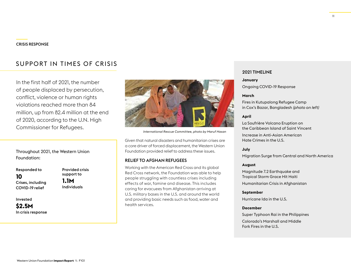# SUPPORT IN TIMES OF CRISIS

In the first half of 2021, the number of people displaced by persecution, conflict, violence or human rights violations reached more than 84 million, up from 82.4 million at the end of 2020, according to the U.N. High Commissioner for Refugees.

Throughout 2021, the Western Union Foundation:

Responded to **10** Crises, including COVID-19 relief

Provided crisis support to **1.1M**  Individuals

Invested

**\$2.5M** In crisis response



*International Rescue Committee, photo by Maruf Hasan*

Given that natural disasters and humanitarian crises are a core driver of forced displacement, the Western Union Foundation provided relief to address these issues.

#### RELIEF TO AFGHAN REFUGEES

Working with the American Red Cross and its global Red Cross network, the Foundation was able to help people struggling with countless crises including effects of war, famine and disease. This includes caring for evacuees from Afghanistan arriving at U.S. military bases in the U.S. and around the world and providing basic needs such as food, water and health services.

#### 2021 TIMELINE

#### **January**

Ongoing COVID-19 Response

#### **March**

Fires in Kutupalong Refugee Camp in Cox's Bazar, Bangladesh *(photo on left)*

#### **April**

La Soufrière Volcano Eruption on the Caribbean Island of Saint Vincent

Increase in Anti-Asian American Hate Crimes in the U.S.

#### **July**

Migration Surge from Central and North America

#### **August**

Magnitude 7.2 Earthquake and Tropical Storm Grace Hit Haiti Humanitarian Crisis in Afghanistan

#### **September**

Hurricane Ida in the U.S.

#### **December**

Super Typhoon Rai in the Philippines Colorado's Marshall and Middle Fork Fires in the U.S.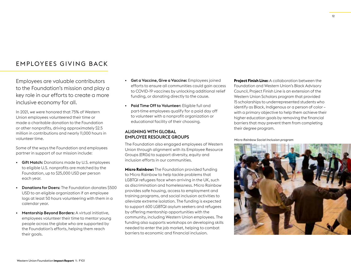### EMPLOYEES GIVING BACK

Employees are valuable contributors to the Foundation's mission and play a key role in our efforts to create a more inclusive economy for all.

In 2021, we were honored that 75% of Western Union employees volunteered their time or made a charitable donation to the Foundation or other nonprofits, driving approximately \$2.5 million in contributions and nearly 11,000 hours in volunteer time.

Some of the ways the Foundation and employees partner in support of our mission include:

- Gift Match: Donations made by U.S. employees to eligible U.S. nonprofits are matched by the Foundation, up to \$25,000 USD per person each year.
- Donations for Doers: The Foundation donates \$500 USD to an eligible organization if an employee logs at least 50 hours volunteering with them in a calendar year.
- Mentorship Beyond Borders: A virtual initiative, employees volunteer their time to mentor young people across the globe who are supported by the Foundation's efforts, helping them reach their goals.
- Get a Vaccine, Give a Vaccine: Employees joined efforts to ensure all communities could gain access to COVID-19 vaccines by unlocking additional relief funding, or donating directly to the cause.
- Paid Time Off to Volunteer: Eligible full and part-time employees qualify for a paid day off to volunteer with a nonprofit organization or educational facility of their choosing.

#### ALIGNING WITH GLOBAL EMPLOYEE RESOURCE GROUPS

The Foundation also engaged employees of Western Union through alignment with its Employee Resource Groups (ERGs) to support diversity, equity and inclusion efforts in our communities.

**Micro Rainbow:** The Foundation provided funding to Micro Rainbow to help tackle problems that LGBTQI refugees face when arriving in the UK, such as discrimination and homelessness. Micro Rainbow provides safe housing, access to employment and training programs, and social inclusion activities to alleviate extreme isolation. The funding is expected to support 600 LGBTQI asylum seekers and refugees by offering mentorship opportunities with the community, including Western Union employees. The funding also supports workshops on developing skills needed to enter the job market, helping to combat barriers to economic and financial inclusion.

**Project Finish Line:** A collaboration between the Foundation and Western Union's Black Advisory Council, Project Finish Line is an extension of the Western Union Scholars program that provided 15 scholarships to underrepresented students who identify as Black, Indigenous or a person of color – with a primary objective to help them achieve their higher education goals by removing the financial barriers that may prevent them from completing their degree program.

#### *Micro Rainbow Social Inclusion program*

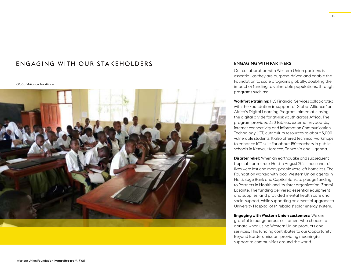# EN GAGING WITH OUR STAKEHOLDERS

*Global Alliance for Africa*



#### ENGAGING WITH PARTNERS

Our collaboration with Western Union partners is essential, as they are purpose-driven and enable the Foundation to scale programs globally, doubling the impact of funding to vulnerable populations, through programs such as:

**Workforce training:** PLS Financial Services collaborated with the Foundation in support of Global Alliance for Africa's Digital Learning Program, aimed at closing the digital divide for at-risk youth across Africa. The program provided 350 tablets, external keyboards, internet connectivity and Information Communication Technology (ICT) curriculum resources to about 5,000 vulnerable students. It also offered technical workshops to enhance ICT skills for about 150 teachers in public schools in Kenya, Morocco, Tanzania and Uganda.

**Disaster relief:** When an earthquake and subsequent tropical storm struck Haiti in August 2021, thousands of lives were lost and many people were left homeless. The Foundation worked with local Western Union agents in Haiti, Soge Bank and Capital Bank, to pledge funding to Partners In Health and its sister organization, Zanmi Lasante. The funding delivered essential equipment and supplies, and provided mental health care and social support, while supporting an essential upgrade to University Hospital of Mirebalais' solar energy system.

**Engaging with Western Union customers:** We are grateful to our generous customers who choose to donate when using Western Union products and services. This funding contributes to our Opportunity Beyond Borders mission, providing meaningful support to communities around the world.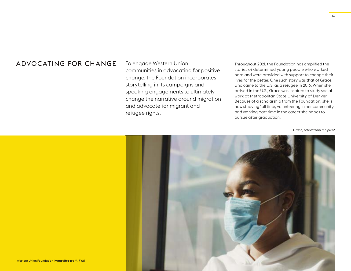# ADVOCATING FOR CHANGE

To engage Western Union communities in advocating for positive change, the Foundation incorporates storytelling in its campaigns and speaking engagements to ultimately change the narrative around migration and advocate for migrant and refugee rights.

Throughout 2021, the Foundation has amplified the stories of determined young people who worked hard and were provided with support to change their lives for the better. One such story was that of Grace, who came to the U.S. as a refugee in 2016. When she arrived in the U.S., Grace was inspired to study social work at Metropolitan State University of Denver. Because of a scholarship from the Foundation, she is now studying full time, volunteering in her community, and working part time in the career she hopes to pursue after graduation.

*Grace, scholarship recipient*

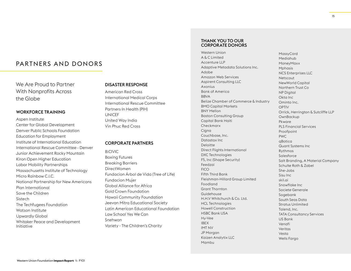### PARTNERS AND DONORS

We Are Proud to Partner With Nonprofits Across the Globe

#### WORKFORCE TRAINING

Aspen Institute Center for Global Development Denver Public Schools Foundation Education for Employment Institute of International Education International Rescue Committee - Denver Junior Achievement Rocky Mountain Kiron Open Higher Education Labor Mobility Partnerships Massachusetts Institute of Technology Micro Rainbow C.I.C. National Partnership for New Americans Plan International Save the Children Sistech The Techfugees Foundation Watson Institute Upwardly Global Whitaker Peace and Development Initiative

#### DISASTER RESPONSE

American Red Cross International Medical Corps International Rescue Committee Partners In Health (PIH) UNICEF United Way India Vin Phuc Red Cross

#### CORPORATE PARTNERS

B:CIVIC Boxing Futures Breaking Barriers DirectWomen Fundacion Árbol de Vida (Tree of Life) Fundacion Mujer Global Alliance for Africa Gold Crown Foundation Hawaii Community Foundation Jeevan Mitra Educational Society Latin American Educational Foundation Law School Yes We Can Snehwan Variety - The Children's Charity

#### THANK YOU TO OUR CORPORATE DONORS

Western Union A & C Limited Accenture LLP Adaptive Metadata Solutions Inc. Adobe Amazon Web Services Aspirent Consulting LLC Axonius Bank of America BBVA Belize Chamber of Commerce & Industry BMO Capital Markets BNY Mellon Boston Consulting Group Capital Bank Haiti Checkmarx Ciana Couchbase, Inc. Datastax Inc Deloitte Direct Flights International DXC Technologies F5, Inc (Shape Security) Feedzai **FICO** Fifth Third Bank Fleishman-Hillard Group Limited Foodland Grant Thornton Guidehouse H.H.V Whitchurch & Co. Ltd. HCL Technologies Howell Construction HSBC Bank USA Hy-Vee IBEX IMT NV JP Morgan Kaizen Analytix LLC Mambu

MassyCard Mediahub MoneyMaxx Mphasis NCS Enterprises LLC Netscout NewWorld Capital Northern Trust Co **NP Digital** Okta Inc Ominto Inc. OPTIV Orrick, Herrington & Sutcliffe LLP **OwnBackup** Pkware PLS Financial Services Proofpoint PWC qBotica Quant Systems Inc Rythmos Salesforce Salt Branding, A Material Company Schulte Roth & Zabel She-Jobs Sisu Inc skil.ai Snowflake Inc Societe Generale Sogebank South Seas Data Stratus Unlimited Talend, Inc. TATA Consultancy Services US Bank Venafi Veritas Vesta Wells Fargo